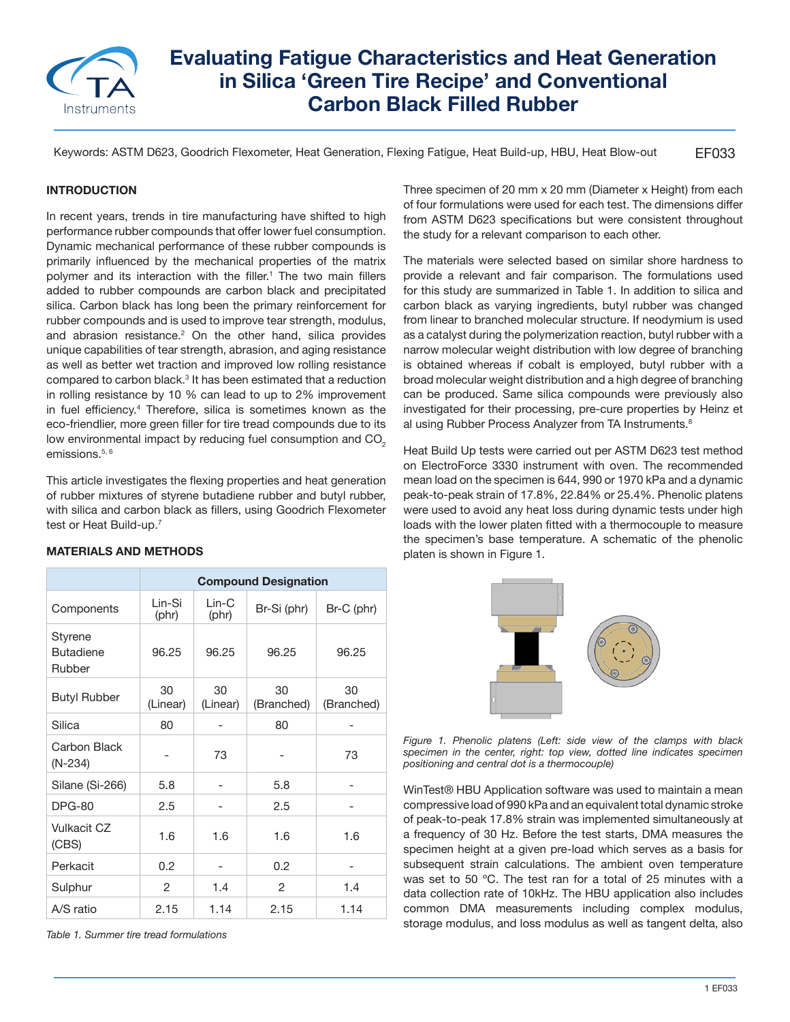

# **Evaluating Fatigue Characteristics and Heat Generation in Silica 'Green Tire Recipe' and Conventional Carbon Black Filled Rubber**

EF033 Keywords: ASTM D623, Goodrich Flexometer, Heat Generation, Flexing Fatigue, Heat Build-up, HBU, Heat Blow-out

## **INTRODUCTION**

In recent years, trends in tire manufacturing have shifted to high performance rubber compounds that offer lower fuel consumption. Dynamic mechanical performance of these rubber compounds is primarily influenced by the mechanical properties of the matrix polymer and its interaction with the filler.<sup>1</sup> The two main fillers added to rubber compounds are carbon black and precipitated silica. Carbon black has long been the primary reinforcement for rubber compounds and is used to improve tear strength, modulus, and abrasion resistance.<sup>2</sup> On the other hand, silica provides unique capabilities of tear strength, abrasion, and aging resistance as well as better wet traction and improved low rolling resistance compared to carbon black. $^3$  It has been estimated that a reduction in rolling resistance by 10 % can lead to up to 2% improvement in fuel efficiency.<sup>4</sup> Therefore, silica is sometimes known as the eco-friendlier, more green filler for tire tread compounds due to its low environmental impact by reducing fuel consumption and CO<sub>2</sub> emissions.<sup>5, 6</sup>

This article investigates the flexing properties and heat generation of rubber mixtures of styrene butadiene rubber and butyl rubber, with silica and carbon black as fillers, using Goodrich Flexometer test or Heat Build-up.<sup>7</sup>

### **MATERIALS AND METHODS**

|                                       | <b>Compound Designation</b> |                   |                  |                  |
|---------------------------------------|-----------------------------|-------------------|------------------|------------------|
| Components                            | l in-Si<br>(phr)            | $l$ in-C<br>(phr) | Br-Si (phr)      | Br-C (phr)       |
| Styrene<br><b>Butadiene</b><br>Rubber | 96.25                       | 96.25             | 96.25            | 96.25            |
| <b>Butyl Rubber</b>                   | 30<br>(Linear)              | 30<br>(Linear)    | 30<br>(Branched) | 30<br>(Branched) |
| Silica                                | 80                          |                   | 80               |                  |
| Carbon Black<br>(N-234)               |                             | 73                |                  | 73               |
| Silane (Si-266)                       | 5.8                         |                   | 5.8              |                  |
| <b>DPG-80</b>                         | 2.5                         |                   | 2.5              |                  |
| Vulkacit CZ<br>(CBS)                  | 1.6                         | 1.6               | 1.6              | 1.6              |
| Perkacit                              | 0.2                         |                   | 0.2              |                  |
| Sulphur                               | 2                           | 1.4               | 2                | 1.4              |
| A/S ratio                             | 2.15                        | 1.14              | 2.15             | 1.14             |

*Table 1. Summer tire tread formulations*

Three specimen of 20 mm x 20 mm (Diameter x Height) from each of four formulations were used for each test. The dimensions differ from ASTM D623 specifications but were consistent throughout the study for a relevant comparison to each other.

The materials were selected based on similar shore hardness to provide a relevant and fair comparison. The formulations used for this study are summarized in Table 1. In addition to silica and carbon black as varying ingredients, butyl rubber was changed from linear to branched molecular structure. If neodymium is used as a catalyst during the polymerization reaction, butyl rubber with a narrow molecular weight distribution with low degree of branching is obtained whereas if cobalt is employed, butyl rubber with a broad molecular weight distribution and a high degree of branching can be produced. Same silica compounds were previously also investigated for their processing, pre-cure properties by Heinz et al using Rubber Process Analyzer from TA Instruments.<sup>8</sup>

Heat Build Up tests were carried out per ASTM D623 test method on ElectroForce 3330 instrument with oven. The recommended mean load on the specimen is 644, 990 or 1970 kPa and a dynamic peak-to-peak strain of 17.8%, 22.84% or 25.4%. Phenolic platens were used to avoid any heat loss during dynamic tests under high loads with the lower platen fitted with a thermocouple to measure the specimen's base temperature. A schematic of the phenolic platen is shown in Figure 1.



*Figure 1. Phenolic platens (Left: side view of the clamps with black specimen in the center, right: top view, dotted line indicates specimen positioning and central dot is a thermocouple)*

WinTest® HBU Application software was used to maintain a mean compressive load of 990 kPa and an equivalent total dynamic stroke of peak-to-peak 17.8% strain was implemented simultaneously at a frequency of 30 Hz. Before the test starts, DMA measures the specimen height at a given pre-load which serves as a basis for subsequent strain calculations. The ambient oven temperature was set to 50 ºC. The test ran for a total of 25 minutes with a data collection rate of 10kHz. The HBU application also includes common DMA measurements including complex modulus, storage modulus, and loss modulus as well as tangent delta, also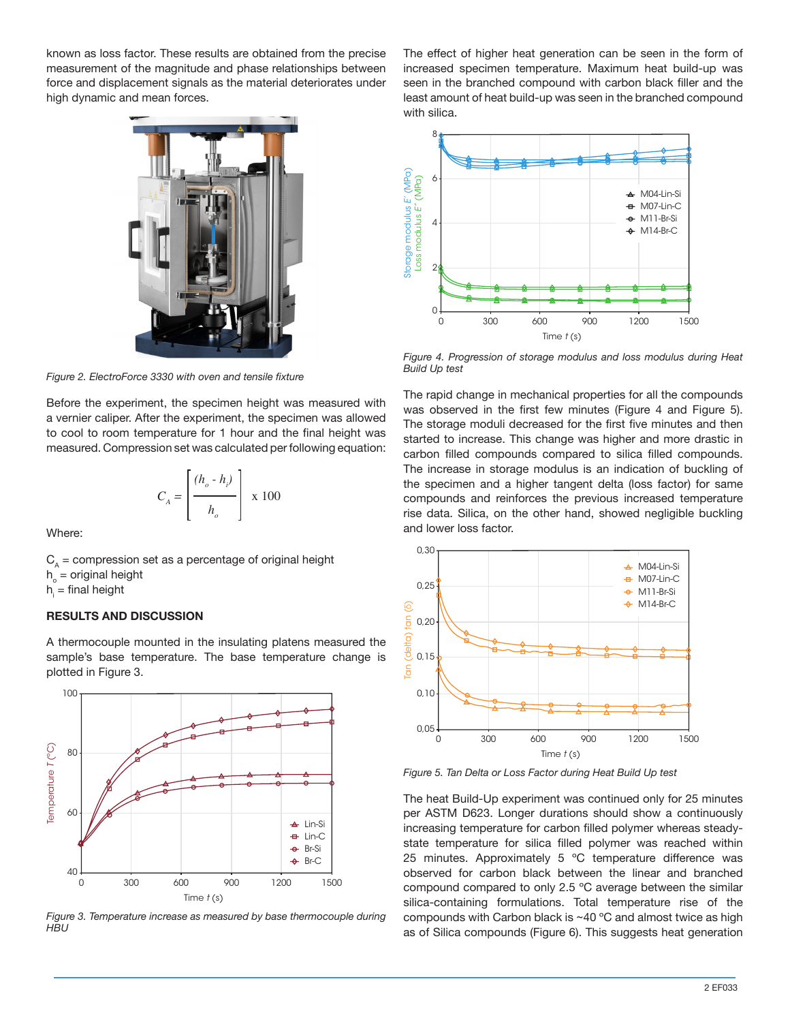known as loss factor. These results are obtained from the precise measurement of the magnitude and phase relationships between force and displacement signals as the material deteriorates under high dynamic and mean forces.



*Figure 2. ElectroForce 3330 with oven and tensile fixture*

Before the experiment, the specimen height was measured with a vernier caliper. After the experiment, the specimen was allowed to cool to room temperature for 1 hour and the final height was measured. Compression set was calculated per following equation:

$$
C_A = \left[\frac{(h_o - h_i)}{h_o}\right] \times 100
$$

Where:

 $C_A$  = compression set as a percentage of original height  $h_{0}$  = original height h $_{\sf i}$  = final height

### **RESULTS AND DISCUSSION**

A thermocouple mounted in the insulating platens measured the sample's base temperature. The base temperature change is plotted in Figure 3.



*Figure 3. Temperature increase as measured by base thermocouple during HBU*

The effect of higher heat generation can be seen in the form of increased specimen temperature. Maximum heat build-up was seen in the branched compound with carbon black filler and the least amount of heat build-up was seen in the branched compound with silica.



*Figure 4. Progression of storage modulus and loss modulus during Heat Build Up test*

The rapid change in mechanical properties for all the compounds was observed in the first few minutes (Figure 4 and Figure 5). The storage moduli decreased for the first five minutes and then started to increase. This change was higher and more drastic in carbon filled compounds compared to silica filled compounds. The increase in storage modulus is an indication of buckling of the specimen and a higher tangent delta (loss factor) for same compounds and reinforces the previous increased temperature rise data. Silica, on the other hand, showed negligible buckling and lower loss factor.



*Figure 5. Tan Delta or Loss Factor during Heat Build Up test*

The heat Build-Up experiment was continued only for 25 minutes per ASTM D623. Longer durations should show a continuously increasing temperature for carbon filled polymer whereas steadystate temperature for silica filled polymer was reached within 25 minutes. Approximately 5 °C temperature difference was observed for carbon black between the linear and branched compound compared to only 2.5 ºC average between the similar silica-containing formulations. Total temperature rise of the compounds with Carbon black is ~40 ºC and almost twice as high as of Silica compounds (Figure 6). This suggests heat generation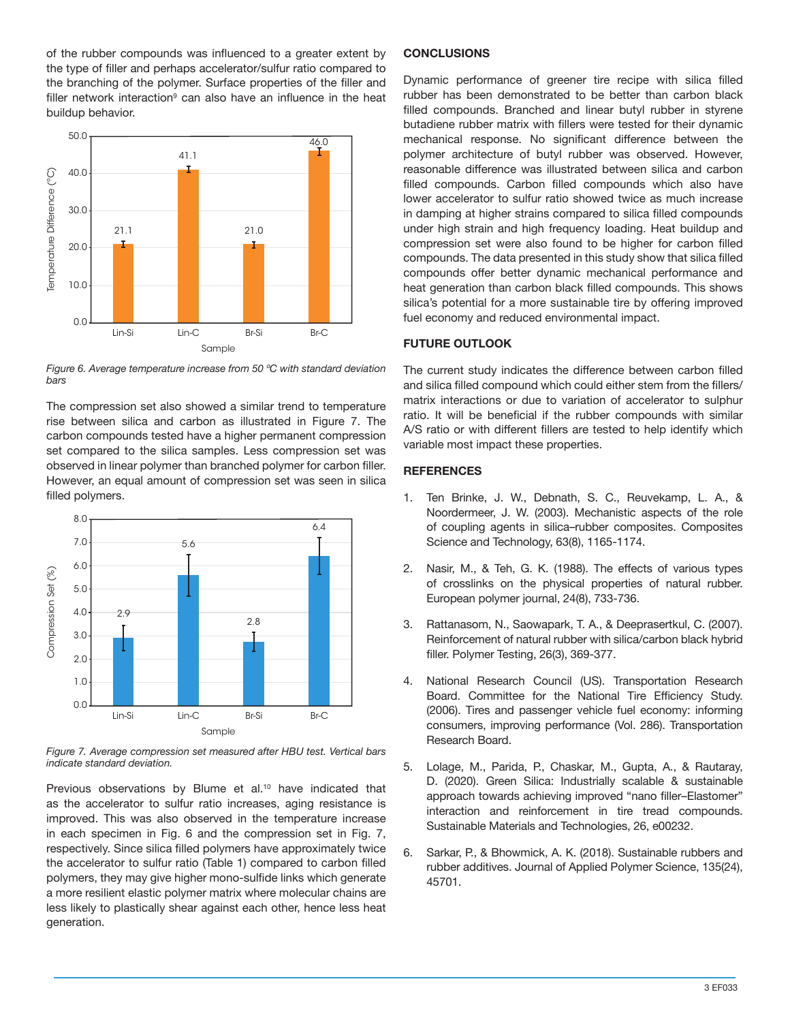of the rubber compounds was influenced to a greater extent by the type of filler and perhaps accelerator/sulfur ratio compared to the branching of the polymer. Surface properties of the filler and filler network interaction<sup>9</sup> can also have an influence in the heat buildup behavior.



*Figure 6. Average temperature increase from 50 ºC with standard deviation bars* 

The compression set also showed a similar trend to temperature rise between silica and carbon as illustrated in Figure 7. The carbon compounds tested have a higher permanent compression set compared to the silica samples. Less compression set was observed in linear polymer than branched polymer for carbon filler. However, an equal amount of compression set was seen in silica filled polymers.



*Figure 7. Average compression set measured after HBU test. Vertical bars indicate standard deviation.*

Previous observations by Blume et al.<sup>10</sup> have indicated that as the accelerator to sulfur ratio increases, aging resistance is improved. This was also observed in the temperature increase in each specimen in Fig. 6 and the compression set in Fig. 7, respectively. Since silica filled polymers have approximately twice the accelerator to sulfur ratio (Table 1) compared to carbon filled polymers, they may give higher mono-sulfide links which generate a more resilient elastic polymer matrix where molecular chains are less likely to plastically shear against each other, hence less heat generation.

#### **CONCLUSIONS**

Dynamic performance of greener tire recipe with silica filled rubber has been demonstrated to be better than carbon black filled compounds. Branched and linear butyl rubber in styrene butadiene rubber matrix with fillers were tested for their dynamic mechanical response. No significant difference between the polymer architecture of butyl rubber was observed. However, reasonable difference was illustrated between silica and carbon filled compounds. Carbon filled compounds which also have lower accelerator to sulfur ratio showed twice as much increase in damping at higher strains compared to silica filled compounds under high strain and high frequency loading. Heat buildup and compression set were also found to be higher for carbon filled compounds. The data presented in this study show that silica filled compounds offer better dynamic mechanical performance and heat generation than carbon black filled compounds. This shows silica's potential for a more sustainable tire by offering improved fuel economy and reduced environmental impact.

### **FUTURE OUTLOOK**

The current study indicates the difference between carbon filled and silica filled compound which could either stem from the fillers/ matrix interactions or due to variation of accelerator to sulphur ratio. It will be beneficial if the rubber compounds with similar A/S ratio or with different fillers are tested to help identify which variable most impact these properties.

#### **REFERENCES**

- 1. Ten Brinke, J. W., Debnath, S. C., Reuvekamp, L. A., & Noordermeer, J. W. (2003). Mechanistic aspects of the role of coupling agents in silica–rubber composites. Composites Science and Technology, 63(8), 1165-1174.
- 2. Nasir, M., & Teh, G. K. (1988). The effects of various types of crosslinks on the physical properties of natural rubber. European polymer journal, 24(8), 733-736.
- 3. Rattanasom, N., Saowapark, T. A., & Deeprasertkul, C. (2007). Reinforcement of natural rubber with silica/carbon black hybrid filler. Polymer Testing, 26(3), 369-377.
- 4. National Research Council (US). Transportation Research Board. Committee for the National Tire Efficiency Study. (2006). Tires and passenger vehicle fuel economy: informing consumers, improving performance (Vol. 286). Transportation Research Board.
- 5. Lolage, M., Parida, P., Chaskar, M., Gupta, A., & Rautaray, D. (2020). Green Silica: Industrially scalable & sustainable approach towards achieving improved "nano filler–Elastomer" interaction and reinforcement in tire tread compounds. Sustainable Materials and Technologies, 26, e00232.
- 6. Sarkar, P., & Bhowmick, A. K. (2018). Sustainable rubbers and rubber additives. Journal of Applied Polymer Science, 135(24), 45701.